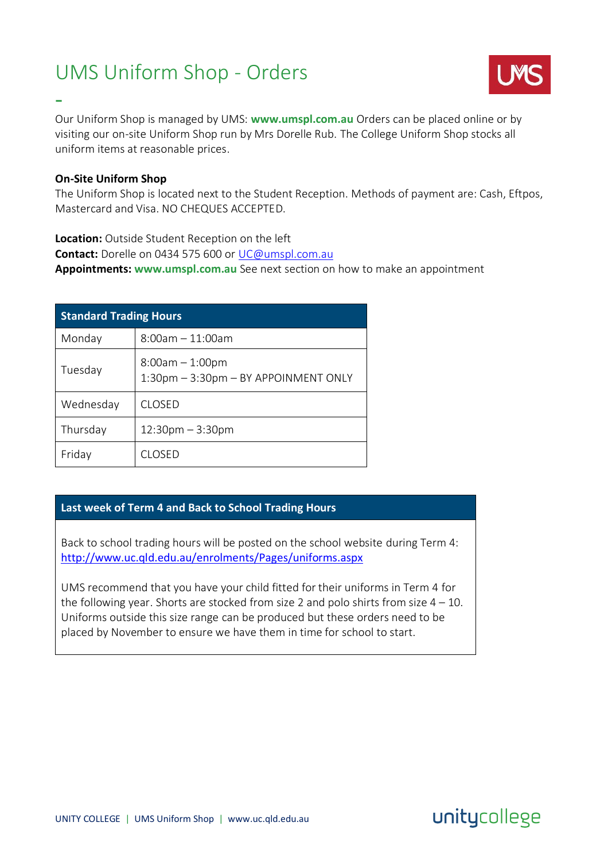## UMS Uniform Shop - Orders



Our Uniform Shop is managed by UMS: **www.umspl.com.au** Orders can be placed online or by visiting our on-site Uniform Shop run by Mrs Dorelle Rub. The College Uniform Shop stocks all uniform items at reasonable prices.

#### **On-Site Uniform Shop**

-

The Uniform Shop is located next to the Student Reception. Methods of payment are: Cash, Eftpos, Mastercard and Visa. NO CHEQUES ACCEPTED.

#### **Location:** Outside Student Reception on the left

**Contact:** Dorelle on 0434 575 600 or [UC@umspl.com.au](mailto:UC@umspl.com.au)

**Appointments: www.umspl.com.au** See next section on how to make an appointment

| <b>Standard Trading Hours</b> |                                                           |  |  |  |
|-------------------------------|-----------------------------------------------------------|--|--|--|
| Monday                        | $8:00$ am $-11:00$ am                                     |  |  |  |
| Tuesday                       | $8:00am - 1:00pm$<br>1:30pm - 3:30pm - BY APPOINMENT ONLY |  |  |  |
| Wednesday                     | CLOSED                                                    |  |  |  |
| Thursday                      | $12:30$ pm $-3:30$ pm                                     |  |  |  |
| Friday                        | CI OSED                                                   |  |  |  |

#### **Last week of Term 4 and Back to School Trading Hours**

Back to school trading hours will be posted on the school website during Term 4: <http://www.uc.qld.edu.au/enrolments/Pages/uniforms.aspx>

UMS recommend that you have your child fitted for their uniforms in Term 4 for the following year. Shorts are stocked from size 2 and polo shirts from size  $4 - 10$ . Uniforms outside this size range can be produced but these orders need to be placed by November to ensure we have them in time for school to start.

unitycollege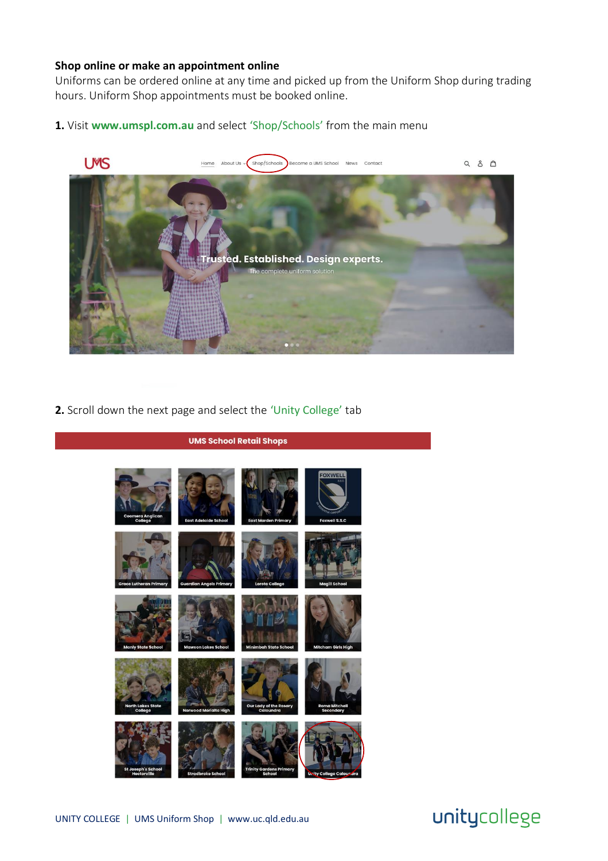#### **Shop online or make an appointment online**

Uniforms can be ordered online at any time and picked up from the Uniform Shop during trading hours. Uniform Shop appointments must be booked online.

**1.** Visit **www.umspl.com.au** and select 'Shop/Schools' from the main menu



**2.** Scroll down the next page and select the 'Unity College' tab



# unitycollege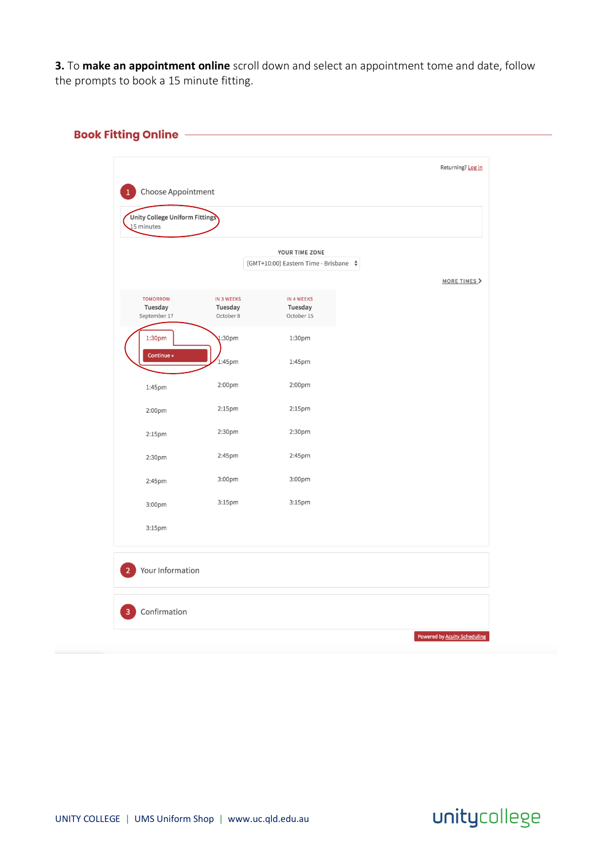**3.** To **make an appointment online** scroll down and select an appointment tome and date, follow the prompts to book a 15 minute fitting.

### **Book Fitting Online**

| Unity College Uniform Fittings<br>15 minutes |                                    |                                                              |                                     |
|----------------------------------------------|------------------------------------|--------------------------------------------------------------|-------------------------------------|
|                                              |                                    | YOUR TIME ZONE<br>(GMT+10:00) Eastern Time - Brisbane $\div$ |                                     |
| <b>TOMORROW</b><br>Tuesday<br>September 17   | IN 3 WEEKS<br>Tuesday<br>October 8 | IN 4 WEEKS<br>Tuesday<br>October 15                          | MORE TIMES >                        |
| 1:30pm<br>Continue »                         | 1:30 <sub>pm</sub><br>1:45pm       | 1:30pm<br>1:45pm                                             |                                     |
| 1:45pm                                       | 2:00pm                             | 2:00pm                                                       |                                     |
| 2:00pm                                       | 2:15pm                             | 2:15pm                                                       |                                     |
| 2:15 <sub>pm</sub>                           | 2:30pm                             | 2:30pm                                                       |                                     |
| 2:30pm                                       | 2:45pm                             | 2:45pm                                                       |                                     |
| 2:45pm                                       | 3:00pm                             | 3:00pm                                                       |                                     |
| 3:00pm                                       | 3:15pm                             | 3:15pm                                                       |                                     |
| 3:15pm                                       |                                    |                                                              |                                     |
| Your Information                             |                                    |                                                              |                                     |
| Confirmation                                 |                                    |                                                              |                                     |
|                                              |                                    |                                                              | <b>Powered by Acuity Scheduling</b> |